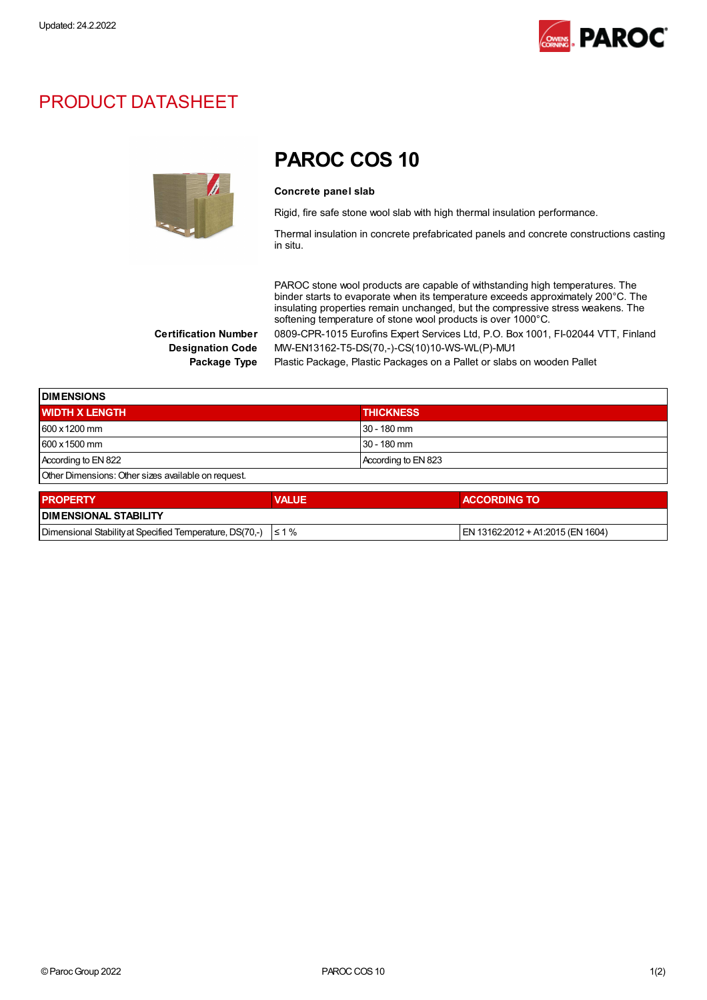

### PRODUCT DATASHEET



## PAROC COS 10

#### Concrete panel slab

Rigid, fire safe stone wool slab with high thermal insulation performance.

Thermal insulation in concrete prefabricated panels and concrete constructions casting in situ.

PAROC stone wool products are capable of withstanding high temperatures. The binder starts to evaporate when its temperature exceeds approximately 200°C. The insulating properties remain unchanged, but the compressive stress weakens. The softening temperature of stone wool products is over 1000°C. Certification Number 0809-CPR-1015 Eurofins Expert Services Ltd, P.O. Box 1001, FI-02044 VTT, Finland

Designation Code MW-EN13162-T5-DS(70,-)-CS(10)10-WS-WL(P)-MU1

Package Type Plastic Package, Plastic Packages on a Pallet or slabs on wooden Pallet

| <b>IDIMENSIONS</b>                                  |                     |  |
|-----------------------------------------------------|---------------------|--|
| <b>WIDTH X LENGTH</b>                               | <b>THICKNESS</b>    |  |
| 600 x 1200 mm                                       | l 30 - 180 mm       |  |
| $1600 \times 1500$ mm                               | 30 - 180 mm         |  |
| According to EN 822                                 | According to EN 823 |  |
| Other Dimensions: Other sizes available on request. |                     |  |

| <b>PROPERTY</b>                                                     | <b>VALUE</b> | <b>ACCORDING TO</b>                |  |
|---------------------------------------------------------------------|--------------|------------------------------------|--|
| <b>IDIMENSIONAL STABILITY</b>                                       |              |                                    |  |
| Dimensional Stability at Specified Temperature, DS(70,-) $\leq 1\%$ |              | IEN 13162:2012 + A1:2015 (EN 1604) |  |